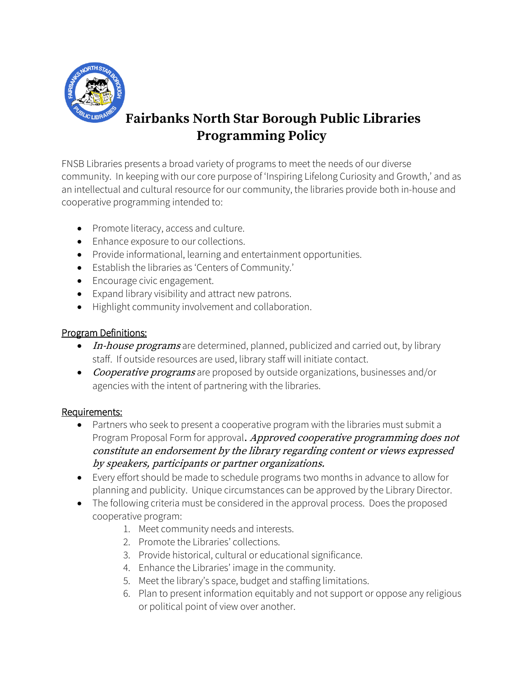

# **Fairbanks North Star Borough Public Libraries Programming Policy**

FNSB Libraries presents a broad variety of programs to meet the needs of our diverse community. In keeping with our core purpose of 'Inspiring Lifelong Curiosity and Growth,' and as an intellectual and cultural resource for our community, the libraries provide both in-house and cooperative programming intended to:

- Promote literacy, access and culture.
- Enhance exposure to our collections.
- Provide informational, learning and entertainment opportunities.
- Establish the libraries as 'Centers of Community.'
- Encourage civic engagement.
- Expand library visibility and attract new patrons.
- Highlight community involvement and collaboration.

## Program Definitions:

- In-house programs are determined, planned, publicized and carried out, by library staff. If outside resources are used, library staff will initiate contact.
- Cooperative programs are proposed by outside organizations, businesses and/or agencies with the intent of partnering with the libraries.

### Requirements:

- Partners who seek to present a cooperative program with the libraries must submit a Program Proposal Form for approval. Approved cooperative programming does not constitute an endorsement by the library regarding content or views expressed by speakers, participants or partner organizations.
- Every effort should be made to schedule programs two months in advance to allow for planning and publicity. Unique circumstances can be approved by the Library Director.
- The following criteria must be considered in the approval process. Does the proposed cooperative program:
	- 1. Meet community needs and interests.
	- 2. Promote the Libraries' collections.
	- 3. Provide historical, cultural or educational significance.
	- 4. Enhance the Libraries' image in the community.
	- 5. Meet the library's space, budget and staffing limitations.
	- 6. Plan to present information equitably and not support or oppose any religious or political point of view over another.